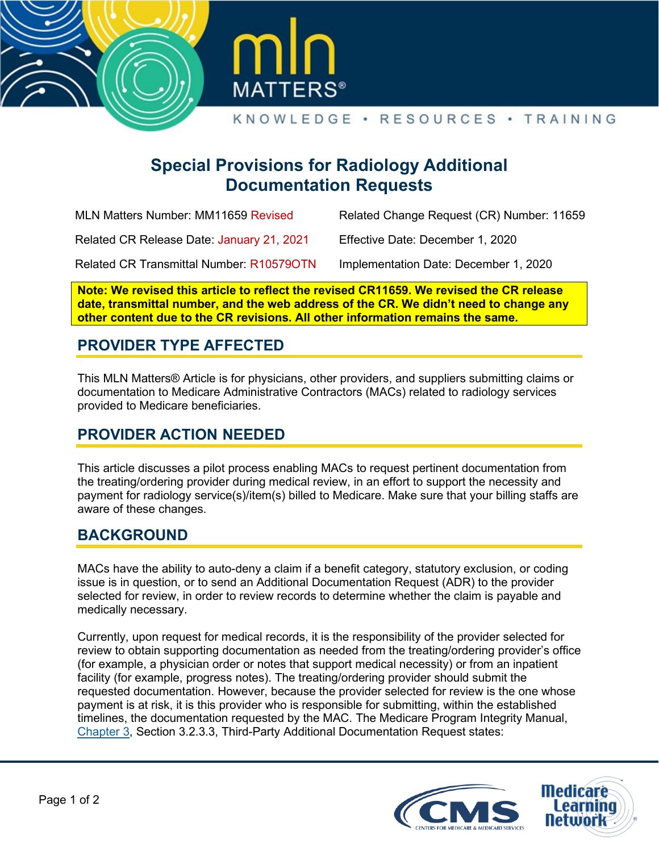



# **Special Provisions for Radiology Additional Documentation Requests**

| MLN Matters Number: MM11659 Revised       | Related Change Request (CR) Number: 11659 |
|-------------------------------------------|-------------------------------------------|
| Related CR Release Date: January 21, 2021 | Effective Date: December 1, 2020          |
| Related CR Transmittal Number: R105790TN  | Implementation Date: December 1, 2020     |

**Note: We revised this article to reflect the revised CR11659. We revised the CR release date, transmittal number, and the web address of the CR. We didn't need to change any other content due to the CR revisions. All other information remains the same.**

# **PROVIDER TYPE AFFECTED**

This MLN Matters® Article is for physicians, other providers, and suppliers submitting claims or documentation to Medicare Administrative Contractors (MACs) related to radiology services provided to Medicare beneficiaries.

## **PROVIDER ACTION NEEDED**

This article discusses a pilot process enabling MACs to request pertinent documentation from the treating/ordering provider during medical review, in an effort to support the necessity and payment for radiology service(s)/item(s) billed to Medicare. Make sure that your billing staffs are aware of these changes.

## **BACKGROUND**

MACs have the ability to auto-deny a claim if a benefit category, statutory exclusion, or coding issue is in question, or to send an Additional Documentation Request (ADR) to the provider selected for review, in order to review records to determine whether the claim is payable and medically necessary.

Currently, upon request for medical records, it is the responsibility of the provider selected for review to obtain supporting documentation as needed from the treating/ordering provider's office (for example, a physician order or notes that support medical necessity) or from an inpatient facility (for example, progress notes). The treating/ordering provider should submit the requested documentation. However, because the provider selected for review is the one whose payment is at risk, it is this provider who is responsible for submitting, within the established timelines, the documentation requested by the MAC. The Medicare Program Integrity Manual, [Chapter 3,](https://www.cms.gov/Regulations-and-Guidance/Guidance/Manuals/Downloads/pim83c03.pdf) Section 3.2.3.3, Third-Party Additional Documentation Request states: